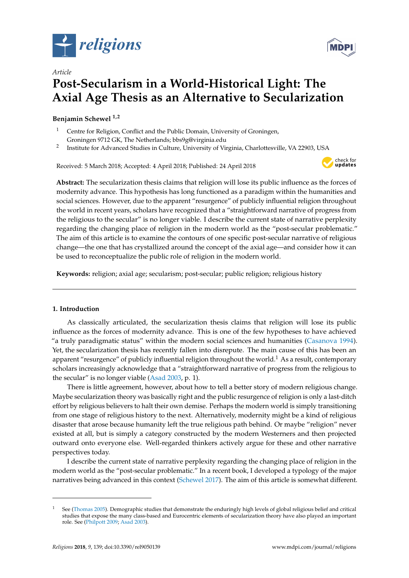

# *Article* **Post-Secularism in a World-Historical Light: The Axial Age Thesis as an Alternative to Secularization**

## **Benjamin Schewel 1,2**

- <sup>1</sup> Centre for Religion, Conflict and the Public Domain, University of Groningen, Groningen 9712 GK, The Netherlands; bbs9g@virginia.edu
- 2 Institute for Advanced Studies in Culture, University of Virginia, Charlottesville, VA 22903, USA

Received: 5 March 2018; Accepted: 4 April 2018; Published: 24 April 2018



MDF

**Abstract:** The secularization thesis claims that religion will lose its public influence as the forces of modernity advance. This hypothesis has long functioned as a paradigm within the humanities and social sciences. However, due to the apparent "resurgence" of publicly influential religion throughout the world in recent years, scholars have recognized that a "straightforward narrative of progress from the religious to the secular" is no longer viable. I describe the current state of narrative perplexity regarding the changing place of religion in the modern world as the "post-secular problematic." The aim of this article is to examine the contours of one specific post-secular narrative of religious change—the one that has crystallized around the concept of the axial age—and consider how it can be used to reconceptualize the public role of religion in the modern world.

**Keywords:** religion; axial age; secularism; post-secular; public religion; religious history

## **1. Introduction**

As classically articulated, the secularization thesis claims that religion will lose its public influence as the forces of modernity advance. This is one of the few hypotheses to have achieved "a truly paradigmatic status" within the modern social sciences and humanities [\(Casanova](#page-6-0) [1994\)](#page-6-0). Yet, the secularization thesis has recently fallen into disrepute. The main cause of this has been an apparent "resurgence" of publicly influential religion throughout the world.<sup>1</sup> As a result, contemporary scholars increasingly acknowledge that a "straightforward narrative of progress from the religious to the secular" is no longer viable [\(Asad](#page-6-1) [2003,](#page-6-1) p. 1).

There is little agreement, however, about how to tell a better story of modern religious change. Maybe secularization theory was basically right and the public resurgence of religion is only a last-ditch effort by religious believers to halt their own demise. Perhaps the modern world is simply transitioning from one stage of religious history to the next. Alternatively, modernity might be a kind of religious disaster that arose because humanity left the true religious path behind. Or maybe "religion" never existed at all, but is simply a category constructed by the modern Westerners and then projected outward onto everyone else. Well-regarded thinkers actively argue for these and other narrative perspectives today.

I describe the current state of narrative perplexity regarding the changing place of religion in the modern world as the "post-secular problematic." In a recent book, I developed a typology of the major narratives being advanced in this context [\(Schewel](#page-6-2) [2017\)](#page-6-2). The aim of this article is somewhat different.

See [\(Thomas](#page-6-3) [2005\)](#page-6-3). Demographic studies that demonstrate the enduringly high levels of global religious belief and critical studies that expose the many class-based and Eurocentric elements of secularization theory have also played an important role. See [\(Philpott](#page-6-4) [2009;](#page-6-4) [Asad](#page-6-1) [2003\)](#page-6-1).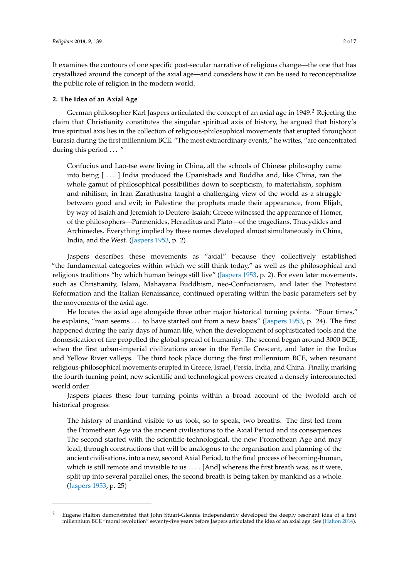It examines the contours of one specific post-secular narrative of religious change—the one that has crystallized around the concept of the axial age—and considers how it can be used to reconceptualize the public role of religion in the modern world.

## **2. The Idea of an Axial Age**

German philosopher Karl Jaspers articulated the concept of an axial age in 1949.<sup>2</sup> Rejecting the claim that Christianity constitutes the singular spiritual axis of history, he argued that history's true spiritual axis lies in the collection of religious-philosophical movements that erupted throughout Eurasia during the first millennium BCE. "The most extraordinary events," he writes, "are concentrated during this period . . . "

Confucius and Lao-tse were living in China, all the schools of Chinese philosophy came into being [ . . . ] India produced the Upanishads and Buddha and, like China, ran the whole gamut of philosophical possibilities down to scepticism, to materialism, sophism and nihilism; in Iran Zarathustra taught a challenging view of the world as a struggle between good and evil; in Palestine the prophets made their appearance, from Elijah, by way of Isaiah and Jeremiah to Deutero-Isaiah; Greece witnessed the appearance of Homer, of the philosophers—Parmenides, Heraclitus and Plato—of the tragedians, Thucydides and Archimedes. Everything implied by these names developed almost simultaneously in China, India, and the West. [\(Jaspers](#page-6-5) [1953,](#page-6-5) p. 2)

Jaspers describes these movements as "axial" because they collectively established "the fundamental categories within which we still think today," as well as the philosophical and religious traditions "by which human beings still live" [\(Jaspers](#page-6-5) [1953,](#page-6-5) p. 2). For even later movements, such as Christianity, Islam, Mahayana Buddhism, neo-Confucianism, and later the Protestant Reformation and the Italian Renaissance, continued operating within the basic parameters set by the movements of the axial age.

He locates the axial age alongside three other major historical turning points. "Four times," he explains, "man seems . . . to have started out from a new basis" [\(Jaspers](#page-6-5) [1953,](#page-6-5) p. 24). The first happened during the early days of human life, when the development of sophisticated tools and the domestication of fire propelled the global spread of humanity. The second began around 3000 BCE, when the first urban-imperial civilizations arose in the Fertile Crescent, and later in the Indus and Yellow River valleys. The third took place during the first millennium BCE, when resonant religious-philosophical movements erupted in Greece, Israel, Persia, India, and China. Finally, marking the fourth turning point, new scientific and technological powers created a densely interconnected world order.

Jaspers places these four turning points within a broad account of the twofold arch of historical progress:

The history of mankind visible to us took, so to speak, two breaths. The first led from the Promethean Age via the ancient civilisations to the Axial Period and its consequences. The second started with the scientific-technological, the new Promethean Age and may lead, through constructions that will be analogous to the organisation and planning of the ancient civilisations, into a new, second Axial Period, to the final process of becoming-human, which is still remote and invisible to us . . . [And] whereas the first breath was, as it were, split up into several parallel ones, the second breath is being taken by mankind as a whole. [\(Jaspers](#page-6-5) [1953,](#page-6-5) p. 25)

<sup>&</sup>lt;sup>2</sup> Eugene Halton demonstrated that John Stuart-Glennie independently developed the deeply resonant idea of a first millennium BCE "moral revolution" seventy-five years before Jaspers articulated the idea of an axial age. See [\(Halton](#page-6-6) [2014\)](#page-6-6).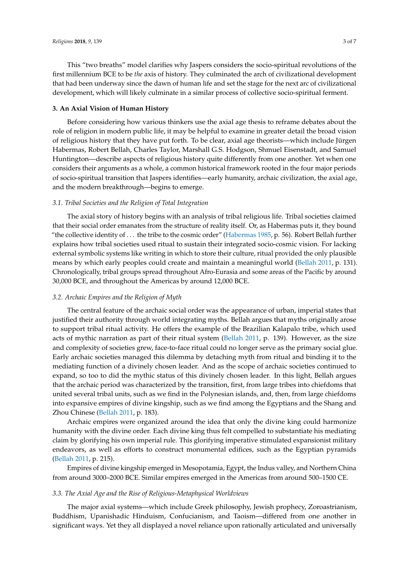This "two breaths" model clarifies why Jaspers considers the socio-spiritual revolutions of the first millennium BCE to be *the* axis of history. They culminated the arch of civilizational development that had been underway since the dawn of human life and set the stage for the next arc of civilizational development, which will likely culminate in a similar process of collective socio-spiritual ferment.

#### **3. An Axial Vision of Human History**

Before considering how various thinkers use the axial age thesis to reframe debates about the role of religion in modern public life, it may be helpful to examine in greater detail the broad vision of religious history that they have put forth. To be clear, axial age theorists—which include Jürgen Habermas, Robert Bellah, Charles Taylor, Marshall G.S. Hodgson, Shmuel Eisenstadt, and Samuel Huntington—describe aspects of religious history quite differently from one another. Yet when one considers their arguments as a whole, a common historical framework rooted in the four major periods of socio-spiritual transition that Jaspers identifies—early humanity, archaic civilization, the axial age, and the modern breakthrough—begins to emerge.

### *3.1. Tribal Societies and the Religion of Total Integration*

The axial story of history begins with an analysis of tribal religious life. Tribal societies claimed that their social order emanates from the structure of reality itself. Or, as Habermas puts it, they bound "the collective identity of . . . the tribe to the cosmic order" [\(Habermas](#page-6-7) [1985,](#page-6-7) p. 56). Robert Bellah further explains how tribal societies used ritual to sustain their integrated socio-cosmic vision. For lacking external symbolic systems like writing in which to store their culture, ritual provided the only plausible means by which early peoples could create and maintain a meaningful world [\(Bellah](#page-6-8) [2011,](#page-6-8) p. 131). Chronologically, tribal groups spread throughout Afro-Eurasia and some areas of the Pacific by around 30,000 BCE, and throughout the Americas by around 12,000 BCE.

## *3.2. Archaic Empires and the Religion of Myth*

The central feature of the archaic social order was the appearance of urban, imperial states that justified their authority through world integrating myths. Bellah argues that myths originally arose to support tribal ritual activity. He offers the example of the Brazilian Kalapalo tribe, which used acts of mythic narration as part of their ritual system [\(Bellah](#page-6-8) [2011,](#page-6-8) p. 139). However, as the size and complexity of societies grew, face-to-face ritual could no longer serve as the primary social glue. Early archaic societies managed this dilemma by detaching myth from ritual and binding it to the mediating function of a divinely chosen leader. And as the scope of archaic societies continued to expand, so too to did the mythic status of this divinely chosen leader. In this light, Bellah argues that the archaic period was characterized by the transition, first, from large tribes into chiefdoms that united several tribal units, such as we find in the Polynesian islands, and, then, from large chiefdoms into expansive empires of divine kingship, such as we find among the Egyptians and the Shang and Zhou Chinese [\(Bellah](#page-6-8) [2011,](#page-6-8) p. 183).

Archaic empires were organized around the idea that only the divine king could harmonize humanity with the divine order. Each divine king thus felt compelled to substantiate his mediating claim by glorifying his own imperial rule. This glorifying imperative stimulated expansionist military endeavors, as well as efforts to construct monumental edifices, such as the Egyptian pyramids [\(Bellah](#page-6-8) [2011,](#page-6-8) p. 215).

Empires of divine kingship emerged in Mesopotamia, Egypt, the Indus valley, and Northern China from around 3000–2000 BCE. Similar empires emerged in the Americas from around 500–1500 CE.

### *3.3. The Axial Age and the Rise of Religious-Metaphysical Worldviews*

The major axial systems—which include Greek philosophy, Jewish prophecy, Zoroastrianism, Buddhism, Upanishadic Hinduism, Confucianism, and Taoism—differed from one another in significant ways. Yet they all displayed a novel reliance upon rationally articulated and universally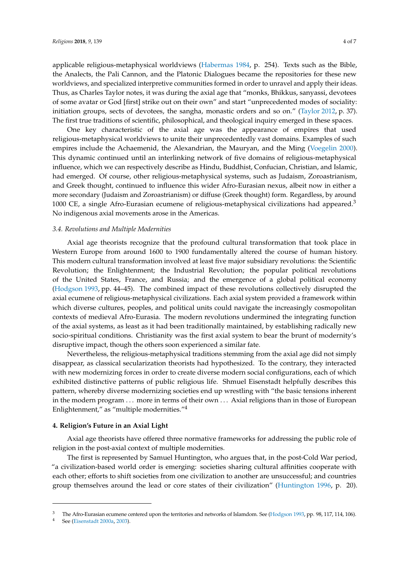applicable religious-metaphysical worldviews [\(Habermas](#page-6-9) [1984,](#page-6-9) p. 254). Texts such as the Bible, the Analects, the Pali Cannon, and the Platonic Dialogues became the repositories for these new worldviews, and specialized interpretive communities formed in order to unravel and apply their ideas. Thus, as Charles Taylor notes, it was during the axial age that "monks, Bhikkus, sanyassi, devotees of some avatar or God [first] strike out on their own" and start "unprecedented modes of sociality: initiation groups, sects of devotees, the sangha, monastic orders and so on." [\(Taylor](#page-6-10) [2012,](#page-6-10) p. 37). The first true traditions of scientific, philosophical, and theological inquiry emerged in these spaces.

One key characteristic of the axial age was the appearance of empires that used religious-metaphysical worldviews to unite their unprecedentedly vast domains. Examples of such empires include the Achaemenid, the Alexandrian, the Mauryan, and the Ming [\(Voegelin](#page-6-11) [2000\)](#page-6-11). This dynamic continued until an interlinking network of five domains of religious-metaphysical influence, which we can respectively describe as Hindu, Buddhist, Confucian, Christian, and Islamic, had emerged. Of course, other religious-metaphysical systems, such as Judaism, Zoroastrianism, and Greek thought, continued to influence this wider Afro-Eurasian nexus, albeit now in either a more secondary (Judaism and Zoroastrianism) or diffuse (Greek thought) form. Regardless, by around 1000 CE, a single Afro-Eurasian ecumene of religious-metaphysical civilizations had appeared.<sup>3</sup> No indigenous axial movements arose in the Americas.

## *3.4. Revolutions and Multiple Modernities*

Axial age theorists recognize that the profound cultural transformation that took place in Western Europe from around 1600 to 1900 fundamentally altered the course of human history. This modern cultural transformation involved at least five major subsidiary revolutions: the Scientific Revolution; the Enlightenment; the Industrial Revolution; the popular political revolutions of the United States, France, and Russia; and the emergence of a global political economy [\(Hodgson](#page-6-12) [1993,](#page-6-12) pp. 44–45). The combined impact of these revolutions collectively disrupted the axial ecumene of religious-metaphysical civilizations. Each axial system provided a framework within which diverse cultures, peoples, and political units could navigate the increasingly cosmopolitan contexts of medieval Afro-Eurasia. The modern revolutions undermined the integrating function of the axial systems, as least as it had been traditionally maintained, by establishing radically new socio-spiritual conditions. Christianity was the first axial system to bear the brunt of modernity's disruptive impact, though the others soon experienced a similar fate.

Nevertheless, the religious-metaphysical traditions stemming from the axial age did not simply disappear, as classical secularization theorists had hypothesized. To the contrary, they interacted with new modernizing forces in order to create diverse modern social configurations, each of which exhibited distinctive patterns of public religious life. Shmuel Eisenstadt helpfully describes this pattern, whereby diverse modernizing societies end up wrestling with "the basic tensions inherent in the modern program ... more in terms of their own ... Axial religions than in those of European Enlightenment," as "multiple modernities."<sup>4</sup>

## **4. Religion's Future in an Axial Light**

Axial age theorists have offered three normative frameworks for addressing the public role of religion in the post-axial context of multiple modernities.

The first is represented by Samuel Huntington, who argues that, in the post-Cold War period, "a civilization-based world order is emerging: societies sharing cultural affinities cooperate with each other; efforts to shift societies from one civilization to another are unsuccessful; and countries group themselves around the lead or core states of their civilization" [\(Huntington](#page-6-13) [1996,](#page-6-13) p. 20).

<sup>3</sup> The Afro-Eurasian ecumene centered upon the territories and networks of Islamdom. See [\(Hodgson](#page-6-12) [1993,](#page-6-12) pp. 98, 117, 114, 106).

See [\(Eisenstadt](#page-6-14) [2000a,](#page-6-14) [2003\)](#page-6-15).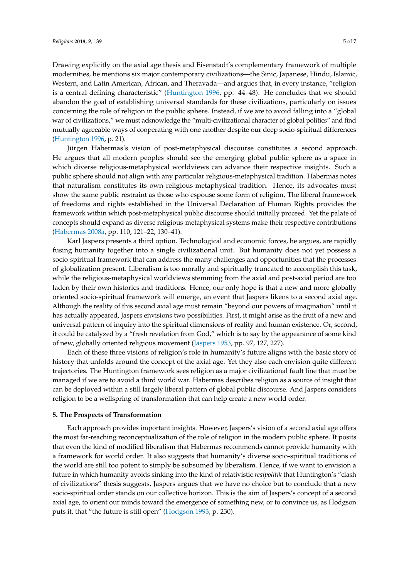Drawing explicitly on the axial age thesis and Eisenstadt's complementary framework of multiple modernities, he mentions six major contemporary civilizations—the Sinic, Japanese, Hindu, Islamic, Western, and Latin American, African, and Theravada—and argues that, in every instance, "religion is a central defining characteristic" [\(Huntington](#page-6-13) [1996,](#page-6-13) pp. 44–48). He concludes that we should abandon the goal of establishing universal standards for these civilizations, particularly on issues concerning the role of religion in the public sphere. Instead, if we are to avoid falling into a "global war of civilizations," we must acknowledge the "multi-civilizational character of global politics" and find mutually agreeable ways of cooperating with one another despite our deep socio-spiritual differences [\(Huntington](#page-6-13) [1996,](#page-6-13) p. 21).

Jürgen Habermas's vision of post-metaphysical discourse constitutes a second approach. He argues that all modern peoples should see the emerging global public sphere as a space in which diverse religious-metaphysical worldviews can advance their respective insights. Such a public sphere should not align with any particular religious-metaphysical tradition. Habermas notes that naturalism constitutes its own religious-metaphysical tradition. Hence, its advocates must show the same public restraint as those who espouse some form of religion. The liberal framework of freedoms and rights established in the Universal Declaration of Human Rights provides the framework within which post-metaphysical public discourse should initially proceed. Yet the palate of concepts should expand as diverse religious-metaphysical systems make their respective contributions [\(Habermas](#page-6-16) [2008a,](#page-6-16) pp. 110, 121–22, 130–41).

Karl Jaspers presents a third option. Technological and economic forces, he argues, are rapidly fusing humanity together into a single civilizational unit. But humanity does not yet possess a socio-spiritual framework that can address the many challenges and opportunities that the processes of globalization present. Liberalism is too morally and spiritually truncated to accomplish this task, while the religious-metaphysical worldviews stemming from the axial and post-axial period are too laden by their own histories and traditions. Hence, our only hope is that a new and more globally oriented socio-spiritual framework will emerge, an event that Jaspers likens to a second axial age. Although the reality of this second axial age must remain "beyond our powers of imagination" until it has actually appeared, Jaspers envisions two possibilities. First, it might arise as the fruit of a new and universal pattern of inquiry into the spiritual dimensions of reality and human existence. Or, second, it could be catalyzed by a "fresh revelation from God," which is to say by the appearance of some kind of new, globally oriented religious movement [\(Jaspers](#page-6-5) [1953,](#page-6-5) pp. 97, 127, 227).

Each of these three visions of religion's role in humanity's future aligns with the basic story of history that unfolds around the concept of the axial age. Yet they also each envision quite different trajectories. The Huntington framework sees religion as a major civilizational fault line that must be managed if we are to avoid a third world war. Habermas describes religion as a source of insight that can be deployed within a still largely liberal pattern of global public discourse. And Jaspers considers religion to be a wellspring of transformation that can help create a new world order.

### **5. The Prospects of Transformation**

Each approach provides important insights. However, Jaspers's vision of a second axial age offers the most far-reaching reconceptualization of the role of religion in the modern public sphere. It posits that even the kind of modified liberalism that Habermas recommends cannot provide humanity with a framework for world order. It also suggests that humanity's diverse socio-spiritual traditions of the world are still too potent to simply be subsumed by liberalism. Hence, if we want to envision a future in which humanity avoids sinking into the kind of relativistic *realpolitik* that Huntington's "clash of civilizations" thesis suggests, Jaspers argues that we have no choice but to conclude that a new socio-spiritual order stands on our collective horizon. This is the aim of Jaspers's concept of a second axial age, to orient our minds toward the emergence of something new, or to convince us, as Hodgson puts it, that "the future is still open" [\(Hodgson](#page-6-12) [1993,](#page-6-12) p. 230).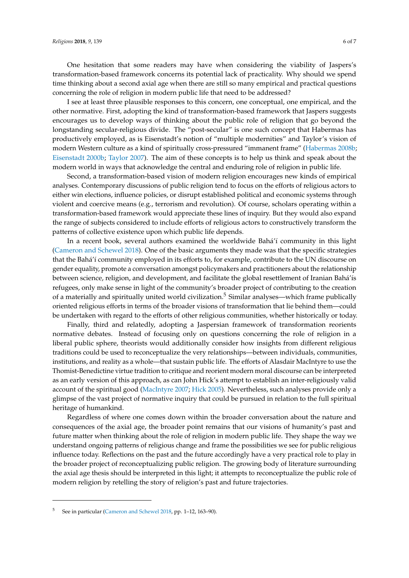One hesitation that some readers may have when considering the viability of Jaspers's transformation-based framework concerns its potential lack of practicality. Why should we spend time thinking about a second axial age when there are still so many empirical and practical questions concerning the role of religion in modern public life that need to be addressed?

I see at least three plausible responses to this concern, one conceptual, one empirical, and the other normative. First, adopting the kind of transformation-based framework that Jaspers suggests encourages us to develop ways of thinking about the public role of religion that go beyond the longstanding secular-religious divide. The "post-secular" is one such concept that Habermas has productively employed, as is Eisenstadt's notion of "multiple modernities" and Taylor's vision of modern Western culture as a kind of spiritually cross-pressured "immanent frame" [\(Habermas](#page-6-17) [2008b;](#page-6-17) [Eisenstadt](#page-6-18) [2000b;](#page-6-18) [Taylor](#page-6-19) [2007\)](#page-6-19). The aim of these concepts is to help us think and speak about the modern world in ways that acknowledge the central and enduring role of religion in public life.

Second, a transformation-based vision of modern religion encourages new kinds of empirical analyses. Contemporary discussions of public religion tend to focus on the efforts of religious actors to either win elections, influence policies, or disrupt established political and economic systems through violent and coercive means (e.g., terrorism and revolution). Of course, scholars operating within a transformation-based framework would appreciate these lines of inquiry. But they would also expand the range of subjects considered to include efforts of religious actors to constructively transform the patterns of collective existence upon which public life depends.

In a recent book, several authors examined the worldwide Bahá'í community in this light [\(Cameron and Schewel](#page-6-20) [2018\)](#page-6-20). One of the basic arguments they made was that the specific strategies that the Bahá'í community employed in its efforts to, for example, contribute to the UN discourse on gender equality, promote a conversation amongst policymakers and practitioners about the relationship between science, religion, and development, and facilitate the global resettlement of Iranian Bahá'ís refugees, only make sense in light of the community's broader project of contributing to the creation of a materially and spiritually united world civilization.<sup>5</sup> Similar analyses—which frame publically oriented religious efforts in terms of the broader visions of transformation that lie behind them—could be undertaken with regard to the efforts of other religious communities, whether historically or today.

Finally, third and relatedly, adopting a Jaspersian framework of transformation reorients normative debates. Instead of focusing only on questions concerning the role of religion in a liberal public sphere, theorists would additionally consider how insights from different religious traditions could be used to reconceptualize the very relationships—between individuals, communities, institutions, and reality as a whole—that sustain public life. The efforts of Alasdair MacIntyre to use the Thomist-Benedictine virtue tradition to critique and reorient modern moral discourse can be interpreted as an early version of this approach, as can John Hick's attempt to establish an inter-religiously valid account of the spiritual good [\(MacIntyre](#page-6-21) [2007;](#page-6-21) [Hick](#page-6-22) [2005\)](#page-6-22). Nevertheless, such analyses provide only a glimpse of the vast project of normative inquiry that could be pursued in relation to the full spiritual heritage of humankind.

Regardless of where one comes down within the broader conversation about the nature and consequences of the axial age, the broader point remains that our visions of humanity's past and future matter when thinking about the role of religion in modern public life. They shape the way we understand ongoing patterns of religious change and frame the possibilities we see for public religious influence today. Reflections on the past and the future accordingly have a very practical role to play in the broader project of reconceptualizing public religion. The growing body of literature surrounding the axial age thesis should be interpreted in this light; it attempts to reconceptualize the public role of modern religion by retelling the story of religion's past and future trajectories.

<sup>5</sup> See in particular [\(Cameron and Schewel](#page-6-20) [2018,](#page-6-20) pp. 1–12, 163–90).